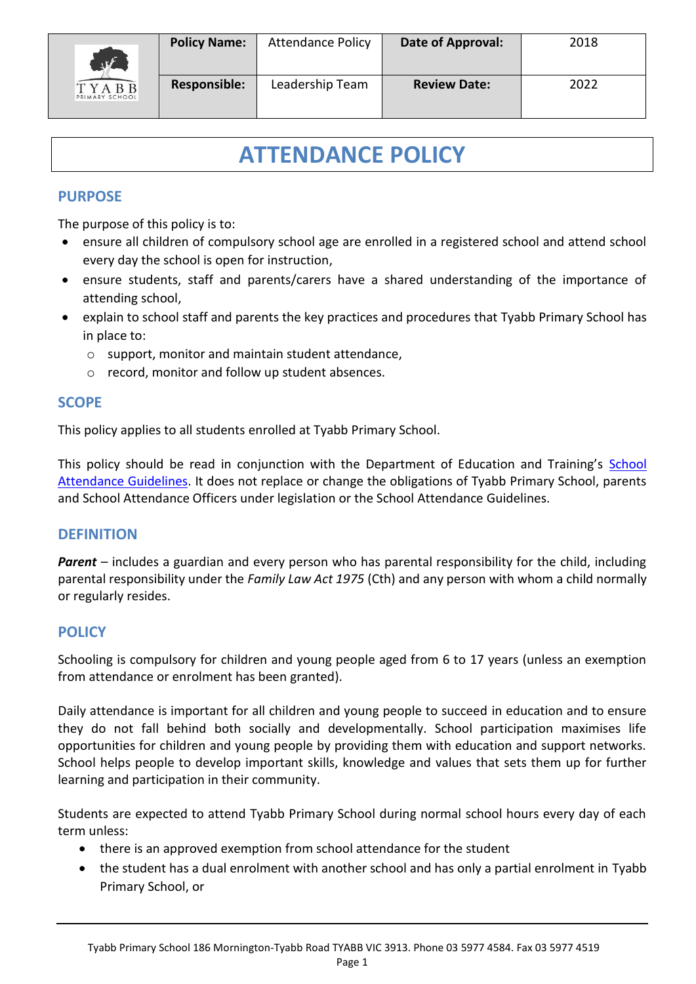

## **ATTENDANCE POLICY**

#### **PURPOSE**

The purpose of this policy is to:

- ensure all children of compulsory school age are enrolled in a registered school and attend school every day the school is open for instruction,
- ensure students, staff and parents/carers have a shared understanding of the importance of attending school,
- explain to school staff and parents the key practices and procedures that Tyabb Primary School has in place to:
	- o support, monitor and maintain student attendance,
	- o record, monitor and follow up student absences.

#### **SCOPE**

This policy applies to all students enrolled at Tyabb Primary School.

This policy should be read in conjunction with the Department of Education and Training's School [Attendance Guidelines.](http://www.education.vic.gov.au/school/teachers/studentmanagement/Pages/attendance.aspx) It does not replace or change the obligations of Tyabb Primary School, parents and School Attendance Officers under legislation or the School Attendance Guidelines.

#### **DEFINITION**

**Parent** – includes a guardian and every person who has parental responsibility for the child, including parental responsibility under the *Family Law Act 1975* (Cth) and any person with whom a child normally or regularly resides.

#### **POLICY**

Schooling is compulsory for children and young people aged from 6 to 17 years (unless an exemption from attendance or enrolment has been granted).

Daily attendance is important for all children and young people to succeed in education and to ensure they do not fall behind both socially and developmentally. School participation maximises life opportunities for children and young people by providing them with education and support networks. School helps people to develop important skills, knowledge and values that sets them up for further learning and participation in their community.

Students are expected to attend Tyabb Primary School during normal school hours every day of each term unless:

- there is an approved exemption from school attendance for the student
- the student has a dual enrolment with another school and has only a partial enrolment in Tyabb Primary School, or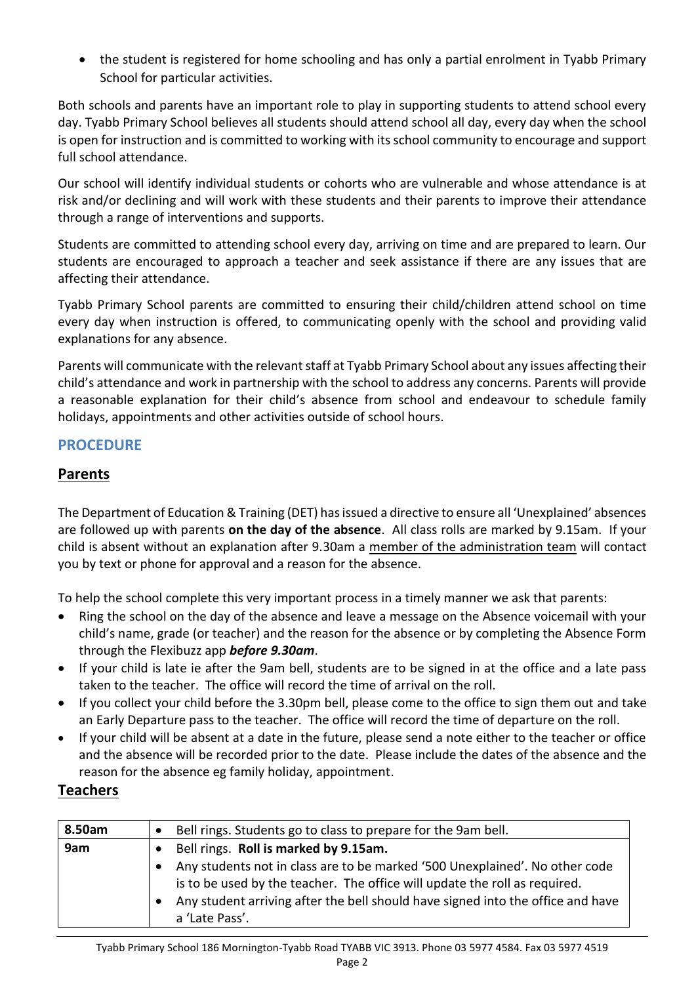• the student is registered for home schooling and has only a partial enrolment in Tyabb Primary School for particular activities.

Both schools and parents have an important role to play in supporting students to attend school every day. Tyabb Primary School believes all students should attend school all day, every day when the school is open for instruction and is committed to working with its school community to encourage and support full school attendance.

Our school will identify individual students or cohorts who are vulnerable and whose attendance is at risk and/or declining and will work with these students and their parents to improve their attendance through a range of interventions and supports.

Students are committed to attending school every day, arriving on time and are prepared to learn. Our students are encouraged to approach a teacher and seek assistance if there are any issues that are affecting their attendance.

Tyabb Primary School parents are committed to ensuring their child/children attend school on time every day when instruction is offered, to communicating openly with the school and providing valid explanations for any absence.

Parents will communicate with the relevant staff at Tyabb Primary School about any issues affecting their child's attendance and work in partnership with the school to address any concerns. Parents will provide a reasonable explanation for their child's absence from school and endeavour to schedule family holidays, appointments and other activities outside of school hours.

## **PROCEDURE**

## **Parents**

The Department of Education & Training (DET) has issued a directive to ensure all 'Unexplained' absences are followed up with parents **on the day of the absence**. All class rolls are marked by 9.15am. If your child is absent without an explanation after 9.30am a member of the administration team will contact you by text or phone for approval and a reason for the absence.

To help the school complete this very important process in a timely manner we ask that parents:

- Ring the school on the day of the absence and leave a message on the Absence voicemail with your child's name, grade (or teacher) and the reason for the absence or by completing the Absence Form through the Flexibuzz app *before 9.30am*.
- If your child is late ie after the 9am bell, students are to be signed in at the office and a late pass taken to the teacher. The office will record the time of arrival on the roll.
- If you collect your child before the 3.30pm bell, please come to the office to sign them out and take an Early Departure pass to the teacher. The office will record the time of departure on the roll.
- If your child will be absent at a date in the future, please send a note either to the teacher or office and the absence will be recorded prior to the date. Please include the dates of the absence and the reason for the absence eg family holiday, appointment.

### **Teachers**

| 8.50am | Bell rings. Students go to class to prepare for the 9am bell.                                                                                                                                                                                                  |
|--------|----------------------------------------------------------------------------------------------------------------------------------------------------------------------------------------------------------------------------------------------------------------|
| 9am    | Bell rings. Roll is marked by 9.15am.                                                                                                                                                                                                                          |
|        | Any students not in class are to be marked '500 Unexplained'. No other code<br>is to be used by the teacher. The office will update the roll as required.<br>Any student arriving after the bell should have signed into the office and have<br>a 'Late Pass'. |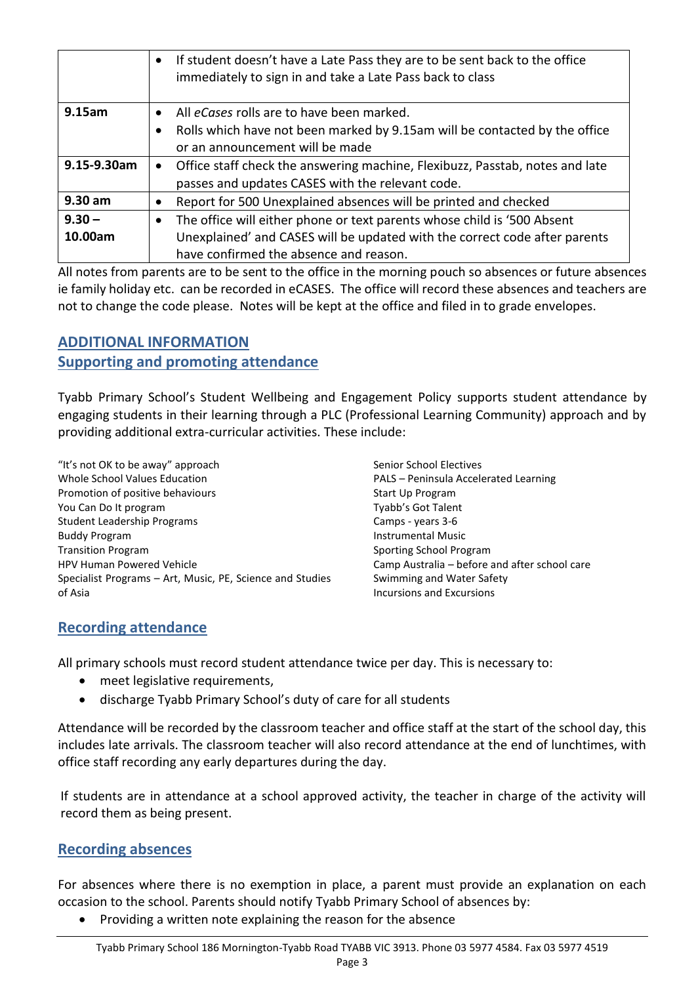|             | • If student doesn't have a Late Pass they are to be sent back to the office<br>immediately to sign in and take a Late Pass back to class |
|-------------|-------------------------------------------------------------------------------------------------------------------------------------------|
| 9.15am      | All eCases rolls are to have been marked.                                                                                                 |
|             | Rolls which have not been marked by 9.15am will be contacted by the office                                                                |
|             | or an announcement will be made                                                                                                           |
| 9.15-9.30am | Office staff check the answering machine, Flexibuzz, Passtab, notes and late                                                              |
|             | passes and updates CASES with the relevant code.                                                                                          |
| $9.30$ am   | Report for 500 Unexplained absences will be printed and checked                                                                           |
| $9.30 -$    | The office will either phone or text parents whose child is '500 Absent<br>٠                                                              |
| 10.00am     | Unexplained' and CASES will be updated with the correct code after parents                                                                |
|             | have confirmed the absence and reason.                                                                                                    |

All notes from parents are to be sent to the office in the morning pouch so absences or future absences ie family holiday etc. can be recorded in eCASES. The office will record these absences and teachers are not to change the code please. Notes will be kept at the office and filed in to grade envelopes.

# **ADDITIONAL INFORMATION**

## **Supporting and promoting attendance**

Tyabb Primary School's Student Wellbeing and Engagement Policy supports student attendance by engaging students in their learning through a PLC (Professional Learning Community) approach and by providing additional extra-curricular activities. These include:

"It's not OK to be away" approach Whole School Values Education Promotion of positive behaviours You Can Do It program Student Leadership Programs Buddy Program Transition Program HPV Human Powered Vehicle Specialist Programs – Art, Music, PE, Science and Studies of Asia

Senior School Electives PALS – Peninsula Accelerated Learning Start Up Program Tyabb's Got Talent Camps - years 3-6 Instrumental Music Sporting School Program Camp Australia – before and after school care Swimming and Water Safety Incursions and Excursions

## **Recording attendance**

All primary schools must record student attendance twice per day. This is necessary to:

- meet legislative requirements,
- discharge Tyabb Primary School's duty of care for all students

Attendance will be recorded by the classroom teacher and office staff at the start of the school day, this includes late arrivals. The classroom teacher will also record attendance at the end of lunchtimes, with office staff recording any early departures during the day.

If students are in attendance at a school approved activity, the teacher in charge of the activity will record them as being present.

### **Recording absences**

For absences where there is no exemption in place, a parent must provide an explanation on each occasion to the school. Parents should notify Tyabb Primary School of absences by:

• Providing a written note explaining the reason for the absence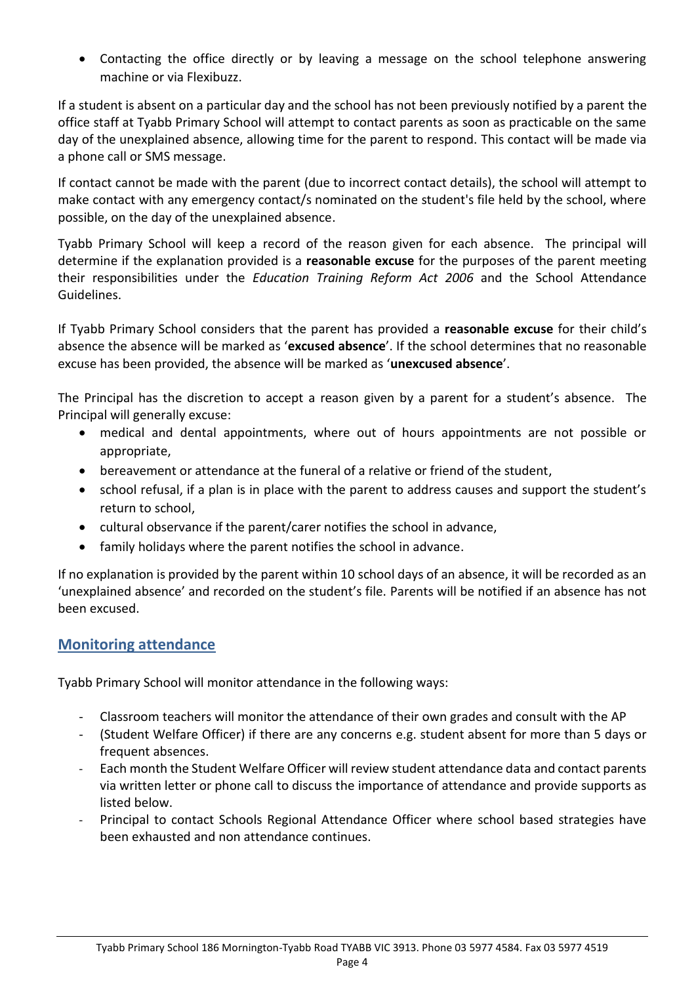Contacting the office directly or by leaving a message on the school telephone answering machine or via Flexibuzz.

If a student is absent on a particular day and the school has not been previously notified by a parent the office staff at Tyabb Primary School will attempt to contact parents as soon as practicable on the same day of the unexplained absence, allowing time for the parent to respond. This contact will be made via a phone call or SMS message.

If contact cannot be made with the parent (due to incorrect contact details), the school will attempt to make contact with any emergency contact/s nominated on the student's file held by the school, where possible, on the day of the unexplained absence.

Tyabb Primary School will keep a record of the reason given for each absence. The principal will determine if the explanation provided is a **reasonable excuse** for the purposes of the parent meeting their responsibilities under the *Education Training Reform Act 2006* and the School Attendance Guidelines.

If Tyabb Primary School considers that the parent has provided a **reasonable excuse** for their child's absence the absence will be marked as '**excused absence**'. If the school determines that no reasonable excuse has been provided, the absence will be marked as '**unexcused absence**'.

The Principal has the discretion to accept a reason given by a parent for a student's absence. The Principal will generally excuse:

- medical and dental appointments, where out of hours appointments are not possible or appropriate,
- bereavement or attendance at the funeral of a relative or friend of the student,
- school refusal, if a plan is in place with the parent to address causes and support the student's return to school,
- cultural observance if the parent/carer notifies the school in advance,
- family holidays where the parent notifies the school in advance.

If no explanation is provided by the parent within 10 school days of an absence, it will be recorded as an 'unexplained absence' and recorded on the student's file. Parents will be notified if an absence has not been excused.

#### **Monitoring attendance**

Tyabb Primary School will monitor attendance in the following ways:

- Classroom teachers will monitor the attendance of their own grades and consult with the AP
- (Student Welfare Officer) if there are any concerns e.g. student absent for more than 5 days or frequent absences.
- Each month the Student Welfare Officer will review student attendance data and contact parents via written letter or phone call to discuss the importance of attendance and provide supports as listed below.
- Principal to contact Schools Regional Attendance Officer where school based strategies have been exhausted and non attendance continues.